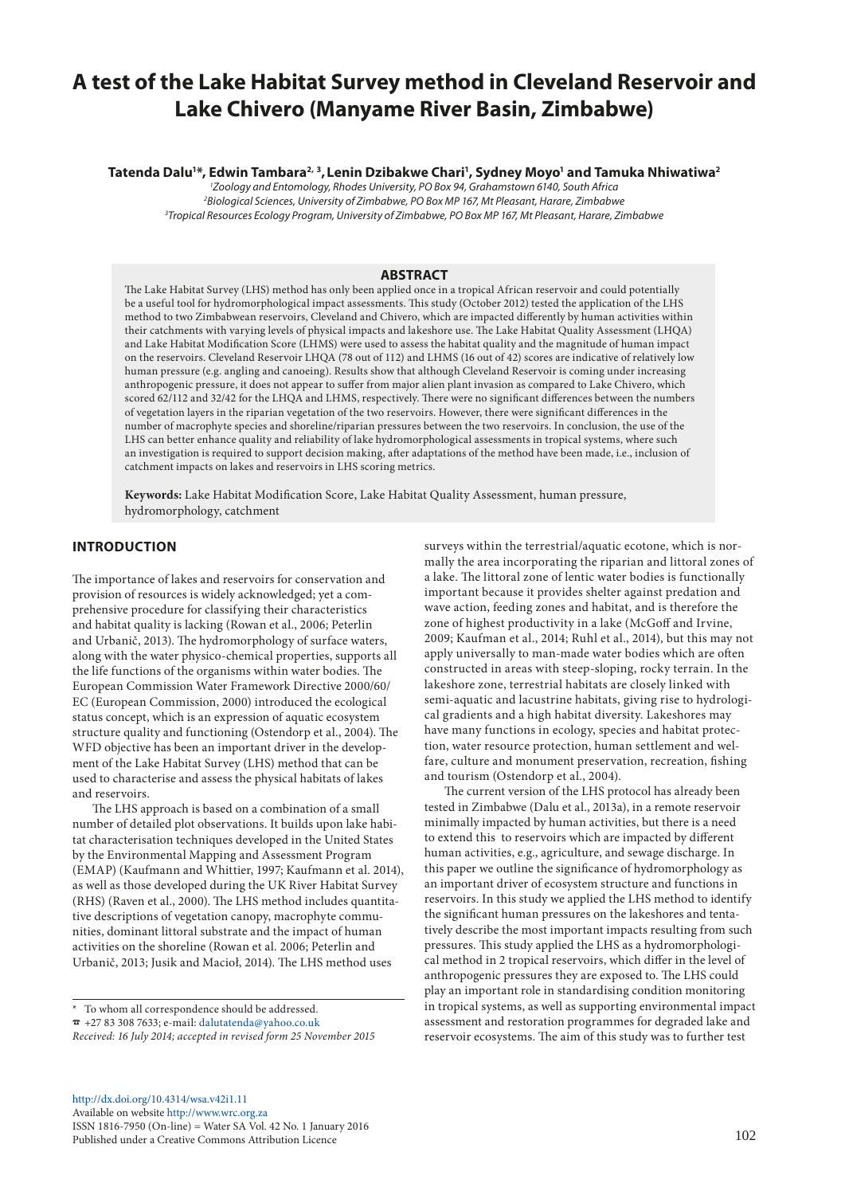# **A test of the Lake Habitat Survey method in Cleveland Reservoir and Lake Chivero (Manyame River Basin, Zimbabwe)**

## **Tatenda Dalu1 \*, Edwin Tambara2, 3,Lenin Dzibakwe Chari1 , Sydney Moyo1 and Tamuka Nhiwatiwa2**

*1 Zoology and Entomology, Rhodes University, PO Box 94, Grahamstown 6140, South Africa 2 Biological Sciences, University of Zimbabwe, PO Box MP 167, Mt Pleasant, Harare, Zimbabwe 3 Tropical Resources Ecology Program, University of Zimbabwe, PO Box MP 167, Mt Pleasant, Harare, Zimbabwe*

# **ABSTRACT**

The Lake Habitat Survey (LHS) method has only been applied once in a tropical African reservoir and could potentially be a useful tool for hydromorphological impact assessments. This study (October 2012) tested the application of the LHS method to two Zimbabwean reservoirs, Cleveland and Chivero, which are impacted differently by human activities within their catchments with varying levels of physical impacts and lakeshore use. The Lake Habitat Quality Assessment (LHQA) and Lake Habitat Modification Score (LHMS) were used to assess the habitat quality and the magnitude of human impact on the reservoirs. Cleveland Reservoir LHQA (78 out of 112) and LHMS (16 out of 42) scores are indicative of relatively low human pressure (e.g. angling and canoeing). Results show that although Cleveland Reservoir is coming under increasing anthropogenic pressure, it does not appear to suffer from major alien plant invasion as compared to Lake Chivero, which scored 62/112 and 32/42 for the LHQA and LHMS, respectively. There were no significant differences between the numbers of vegetation layers in the riparian vegetation of the two reservoirs. However, there were significant differences in the number of macrophyte species and shoreline/riparian pressures between the two reservoirs. In conclusion, the use of the LHS can better enhance quality and reliability of lake hydromorphological assessments in tropical systems, where such an investigation is required to support decision making, after adaptations of the method have been made, i.e., inclusion of catchment impacts on lakes and reservoirs in LHS scoring metrics.

**Keywords:** Lake Habitat Modification Score, Lake Habitat Quality Assessment, human pressure, hydromorphology, catchment

# **INTRODUCTION**

The importance of lakes and reservoirs for conservation and provision of resources is widely acknowledged; yet a comprehensive procedure for classifying their characteristics and habitat quality is lacking (Rowan et al., 2006; Peterlin and Urbanič, 2013). The hydromorphology of surface waters, along with the water physico-chemical properties, supports all the life functions of the organisms within water bodies. The European Commission Water Framework Directive 2000/60/ EC (European Commission, 2000) introduced the ecological status concept, which is an expression of aquatic ecosystem structure quality and functioning (Ostendorp et al., 2004). The WFD objective has been an important driver in the development of the Lake Habitat Survey (LHS) method that can be used to characterise and assess the physical habitats of lakes and reservoirs.

The LHS approach is based on a combination of a small number of detailed plot observations. It builds upon lake habitat characterisation techniques developed in the United States by the Environmental Mapping and Assessment Program (EMAP) (Kaufmann and Whittier, 1997; Kaufmann et al. 2014), as well as those developed during the UK River Habitat Survey (RHS) (Raven et al., 2000). The LHS method includes quantitative descriptions of vegetation canopy, macrophyte communities, dominant littoral substrate and the impact of human activities on the shoreline (Rowan et al. 2006; Peterlin and Urbanič, 2013; Jusik and Macioł, 2014). The LHS method uses

\* To whom all correspondence should be addressed.  $\tau$  +27 83 308 7633; e-mail: [dalutatenda@yahoo.co.uk](mailto:dalutatenda%40yahoo.co.uk?subject=) *Received: 16 July 2014; accepted in revised form 25 November 2015*

[http://dx.doi.org/10.4314/wsa.v42i1.1](http://dx.doi.org/10.4314/wsa.v42i1.11)1 Available on website <http://www.wrc.org.za> ISSN 1816-7950 (On-line) = Water SA Vol. 42 No. 1 January 2016 Published under a Creative Commons Attribution Licence

surveys within the terrestrial/aquatic ecotone, which is normally the area incorporating the riparian and littoral zones of a lake. The littoral zone of lentic water bodies is functionally important because it provides shelter against predation and wave action, feeding zones and habitat, and is therefore the zone of highest productivity in a lake (McGoff and Irvine, 2009; Kaufman et al., 2014; Ruhl et al., 2014), but this may not apply universally to man-made water bodies which are often constructed in areas with steep-sloping, rocky terrain. In the lakeshore zone, terrestrial habitats are closely linked with semi-aquatic and lacustrine habitats, giving rise to hydrological gradients and a high habitat diversity. Lakeshores may have many functions in ecology, species and habitat protection, water resource protection, human settlement and welfare, culture and monument preservation, recreation, fishing and tourism (Ostendorp et al*.*, 2004).

The current version of the LHS protocol has already been tested in Zimbabwe (Dalu et al., 2013a), in a remote reservoir minimally impacted by human activities, but there is a need to extend this to reservoirs which are impacted by different human activities, e.g., agriculture, and sewage discharge. In this paper we outline the significance of hydromorphology as an important driver of ecosystem structure and functions in reservoirs. In this study we applied the LHS method to identify the significant human pressures on the lakeshores and tentatively describe the most important impacts resulting from such pressures. This study applied the LHS as a hydromorphological method in 2 tropical reservoirs, which differ in the level of anthropogenic pressures they are exposed to. The LHS could play an important role in standardising condition monitoring in tropical systems, as well as supporting environmental impact assessment and restoration programmes for degraded lake and reservoir ecosystems. The aim of this study was to further test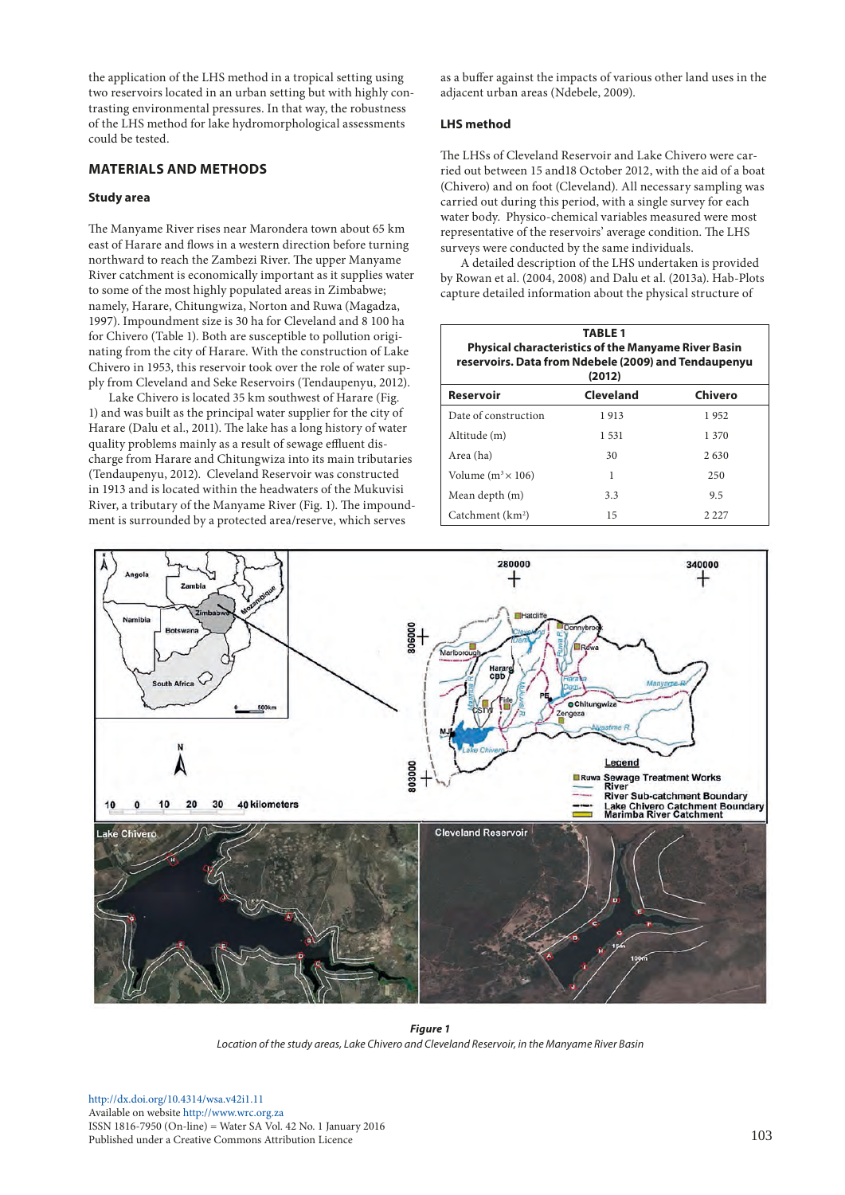the application of the LHS method in a tropical setting using two reservoirs located in an urban setting but with highly contrasting environmental pressures. In that way, the robustness of the LHS method for lake hydromorphological assessments could be tested.

# **MATERIALS AND METHODS**

## **Study area**

The Manyame River rises near Marondera town about 65 km east of Harare and flows in a western direction before turning northward to reach the Zambezi River. The upper Manyame River catchment is economically important as it supplies water to some of the most highly populated areas in Zimbabwe; namely, Harare, Chitungwiza, Norton and Ruwa (Magadza, 1997). Impoundment size is 30 ha for Cleveland and 8 100 ha for Chivero (Table 1). Both are susceptible to pollution originating from the city of Harare. With the construction of Lake Chivero in 1953, this reservoir took over the role of water supply from Cleveland and Seke Reservoirs (Tendaupenyu, 2012).

Lake Chivero is located 35 km southwest of Harare (Fig. 1) and was built as the principal water supplier for the city of Harare (Dalu et al., 2011). The lake has a long history of water quality problems mainly as a result of sewage effluent discharge from Harare and Chitungwiza into its main tributaries (Tendaupenyu, 2012). Cleveland Reservoir was constructed in 1913 and is located within the headwaters of the Mukuvisi River, a tributary of the Manyame River (Fig. 1). The impoundment is surrounded by a protected area/reserve, which serves

as a buffer against the impacts of various other land uses in the adjacent urban areas (Ndebele, 2009).

## **LHS method**

The LHSs of Cleveland Reservoir and Lake Chivero were carried out between 15 and18 October 2012, with the aid of a boat (Chivero) and on foot (Cleveland). All necessary sampling was carried out during this period, with a single survey for each water body. Physico-chemical variables measured were most representative of the reservoirs' average condition. The LHS surveys were conducted by the same individuals.

A detailed description of the LHS undertaken is provided by Rowan et al. (2004, 2008) and Dalu et al. (2013a). Hab-Plots capture detailed information about the physical structure of

| <b>TABLE 1</b><br><b>Physical characteristics of the Manyame River Basin</b><br>reservoirs. Data from Ndebele (2009) and Tendaupenyu<br>(2012) |           |         |  |  |  |  |  |  |  |  |  |
|------------------------------------------------------------------------------------------------------------------------------------------------|-----------|---------|--|--|--|--|--|--|--|--|--|
| <b>Reservoir</b>                                                                                                                               | Cleveland | Chivero |  |  |  |  |  |  |  |  |  |
| Date of construction                                                                                                                           | 1913      | 1952    |  |  |  |  |  |  |  |  |  |
| Altitude (m)                                                                                                                                   | 1.531     | 1 370   |  |  |  |  |  |  |  |  |  |
| Area (ha)                                                                                                                                      | 30        | 2630    |  |  |  |  |  |  |  |  |  |
| Volume $(m^3 \times 106)$                                                                                                                      | 1         | 250     |  |  |  |  |  |  |  |  |  |
| Mean depth (m)                                                                                                                                 | 3.3       | 9.5     |  |  |  |  |  |  |  |  |  |
| Catchment (km <sup>2</sup> )                                                                                                                   | 15        | 2.227   |  |  |  |  |  |  |  |  |  |



*Figure 1 Location of the study areas, Lake Chivero and Cleveland Reservoir, in the Manyame River Basin*

[http://dx.doi.org/10.4314/wsa.v42i1.](http://dx.doi.org/10.4314/wsa.v42i1.11)11 Available on website<http://www.wrc.org.za> ISSN 1816-7950 (On-line) = Water SA Vol. 42 No. 1 January 2016 Published under a Creative Commons Attribution Licence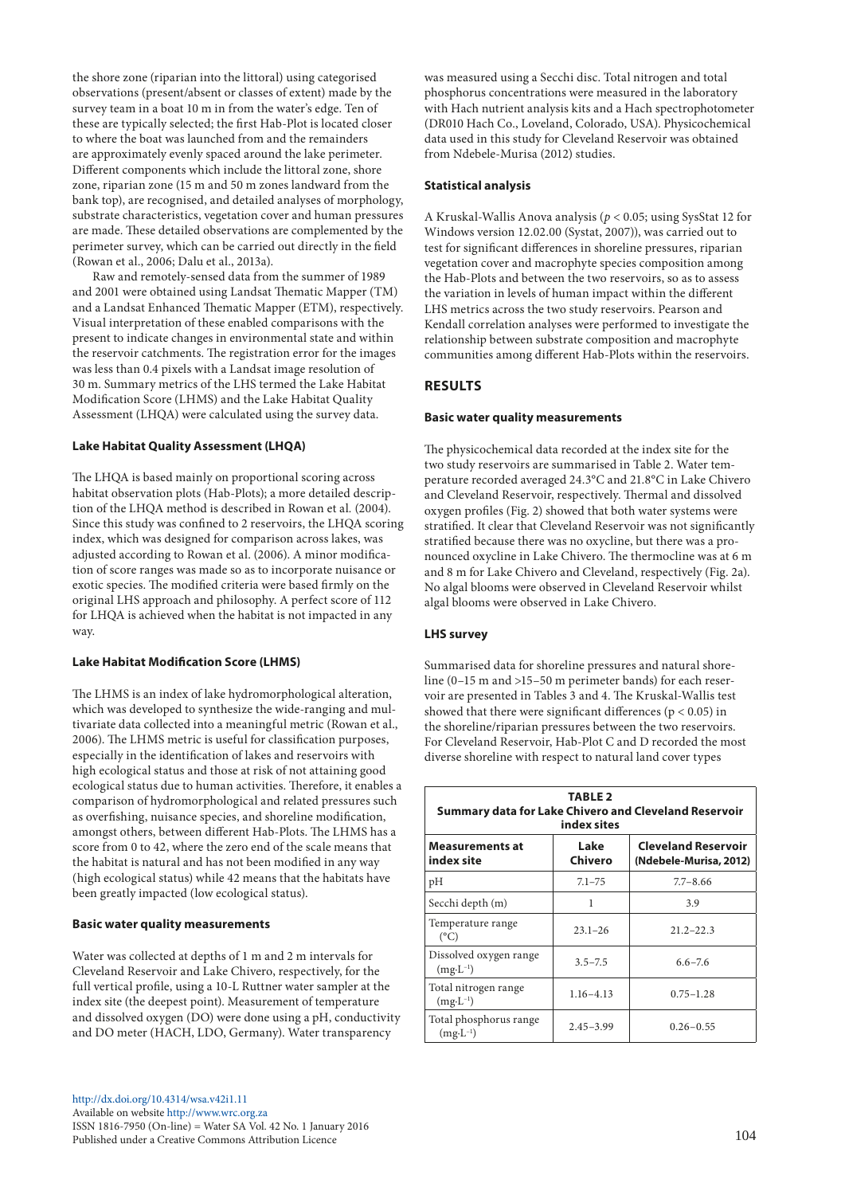the shore zone (riparian into the littoral) using categorised observations (present/absent or classes of extent) made by the survey team in a boat 10 m in from the water's edge. Ten of these are typically selected; the first Hab-Plot is located closer to where the boat was launched from and the remainders are approximately evenly spaced around the lake perimeter. Different components which include the littoral zone, shore zone, riparian zone (15 m and 50 m zones landward from the bank top), are recognised, and detailed analyses of morphology, substrate characteristics, vegetation cover and human pressures are made. These detailed observations are complemented by the perimeter survey, which can be carried out directly in the field (Rowan et al., 2006; Dalu et al., 2013a).

Raw and remotely-sensed data from the summer of 1989 and 2001 were obtained using Landsat Thematic Mapper (TM) and a Landsat Enhanced Thematic Mapper (ETM), respectively. Visual interpretation of these enabled comparisons with the present to indicate changes in environmental state and within the reservoir catchments. The registration error for the images was less than 0.4 pixels with a Landsat image resolution of 30 m. Summary metrics of the LHS termed the Lake Habitat Modification Score (LHMS) and the Lake Habitat Quality Assessment (LHQA) were calculated using the survey data.

## **Lake Habitat Quality Assessment (LHQA)**

The LHQA is based mainly on proportional scoring across habitat observation plots (Hab-Plots); a more detailed description of the LHQA method is described in Rowan et al*.* (2004). Since this study was confined to 2 reservoirs, the LHQA scoring index, which was designed for comparison across lakes, was adjusted according to Rowan et al. (2006). A minor modification of score ranges was made so as to incorporate nuisance or exotic species. The modified criteria were based firmly on the original LHS approach and philosophy. A perfect score of 112 for LHQA is achieved when the habitat is not impacted in any way.

#### **Lake Habitat Modification Score (LHMS)**

The LHMS is an index of lake hydromorphological alteration, which was developed to synthesize the wide-ranging and multivariate data collected into a meaningful metric (Rowan et al., 2006). The LHMS metric is useful for classification purposes, especially in the identification of lakes and reservoirs with high ecological status and those at risk of not attaining good ecological status due to human activities. Therefore, it enables a comparison of hydromorphological and related pressures such as overfishing, nuisance species, and shoreline modification, amongst others, between different Hab-Plots. The LHMS has a score from 0 to 42, where the zero end of the scale means that the habitat is natural and has not been modified in any way (high ecological status) while 42 means that the habitats have been greatly impacted (low ecological status).

## **Basic water quality measurements**

Water was collected at depths of 1 m and 2 m intervals for Cleveland Reservoir and Lake Chivero, respectively, for the full vertical profile, using a 10-L Ruttner water sampler at the index site (the deepest point). Measurement of temperature and dissolved oxygen (DO) were done using a pH, conductivity and DO meter (HACH, LDO, Germany). Water transparency

was measured using a Secchi disc. Total nitrogen and total phosphorus concentrations were measured in the laboratory with Hach nutrient analysis kits and a Hach spectrophotometer (DR010 Hach Co., Loveland, Colorado, USA). Physicochemical data used in this study for Cleveland Reservoir was obtained from Ndebele-Murisa (2012) studies.

#### **Statistical analysis**

A Kruskal-Wallis Anova analysis (*p* < 0.05; using SysStat 12 for Windows version 12.02.00 (Systat, 2007)), was carried out to test for significant differences in shoreline pressures, riparian vegetation cover and macrophyte species composition among the Hab-Plots and between the two reservoirs, so as to assess the variation in levels of human impact within the different LHS metrics across the two study reservoirs. Pearson and Kendall correlation analyses were performed to investigate the relationship between substrate composition and macrophyte communities among different Hab-Plots within the reservoirs.

# **RESULTS**

## **Basic water quality measurements**

The physicochemical data recorded at the index site for the two study reservoirs are summarised in Table 2. Water temperature recorded averaged 24.3°C and 21.8°C in Lake Chivero and Cleveland Reservoir, respectively. Thermal and dissolved oxygen profiles (Fig. 2) showed that both water systems were stratified. It clear that Cleveland Reservoir was not significantly stratified because there was no oxycline, but there was a pronounced oxycline in Lake Chivero. The thermocline was at 6 m and 8 m for Lake Chivero and Cleveland, respectively (Fig. 2a). No algal blooms were observed in Cleveland Reservoir whilst algal blooms were observed in Lake Chivero.

### **LHS survey**

Summarised data for shoreline pressures and natural shoreline (0–15 m and >15–50 m perimeter bands) for each reservoir are presented in Tables 3 and 4. The Kruskal-Wallis test showed that there were significant differences ( $p < 0.05$ ) in the shoreline/riparian pressures between the two reservoirs. For Cleveland Reservoir, Hab-Plot C and D recorded the most diverse shoreline with respect to natural land cover types

| <b>TABLE 2</b><br>Summary data for Lake Chivero and Cleveland Reservoir<br>index sites |                 |                                                      |  |  |  |  |  |  |  |  |  |  |
|----------------------------------------------------------------------------------------|-----------------|------------------------------------------------------|--|--|--|--|--|--|--|--|--|--|
| <b>Measurements at</b><br>index site                                                   | Lake<br>Chivero | <b>Cleveland Reservoir</b><br>(Ndebele-Murisa, 2012) |  |  |  |  |  |  |  |  |  |  |
| pH                                                                                     | $7.1 - 75$      | $7.7 - 8.66$                                         |  |  |  |  |  |  |  |  |  |  |
| Secchi depth (m)                                                                       | 1               | 3.9                                                  |  |  |  |  |  |  |  |  |  |  |
| Temperature range<br>$(^{\circ}C)$                                                     | $23.1 - 26$     | $21.2 - 22.3$                                        |  |  |  |  |  |  |  |  |  |  |
| Dissolved oxygen range<br>$(mg \cdot L^{-1})$                                          | $3.5 - 7.5$     | $6.6 - 7.6$                                          |  |  |  |  |  |  |  |  |  |  |
| Total nitrogen range<br>$(mg \cdot L^{-1})$                                            | $1.16 - 4.13$   | $0.75 - 1.28$                                        |  |  |  |  |  |  |  |  |  |  |
| Total phosphorus range<br>$(mg \cdot L^{-1})$                                          | $2.45 - 3.99$   | $0.26 - 0.55$                                        |  |  |  |  |  |  |  |  |  |  |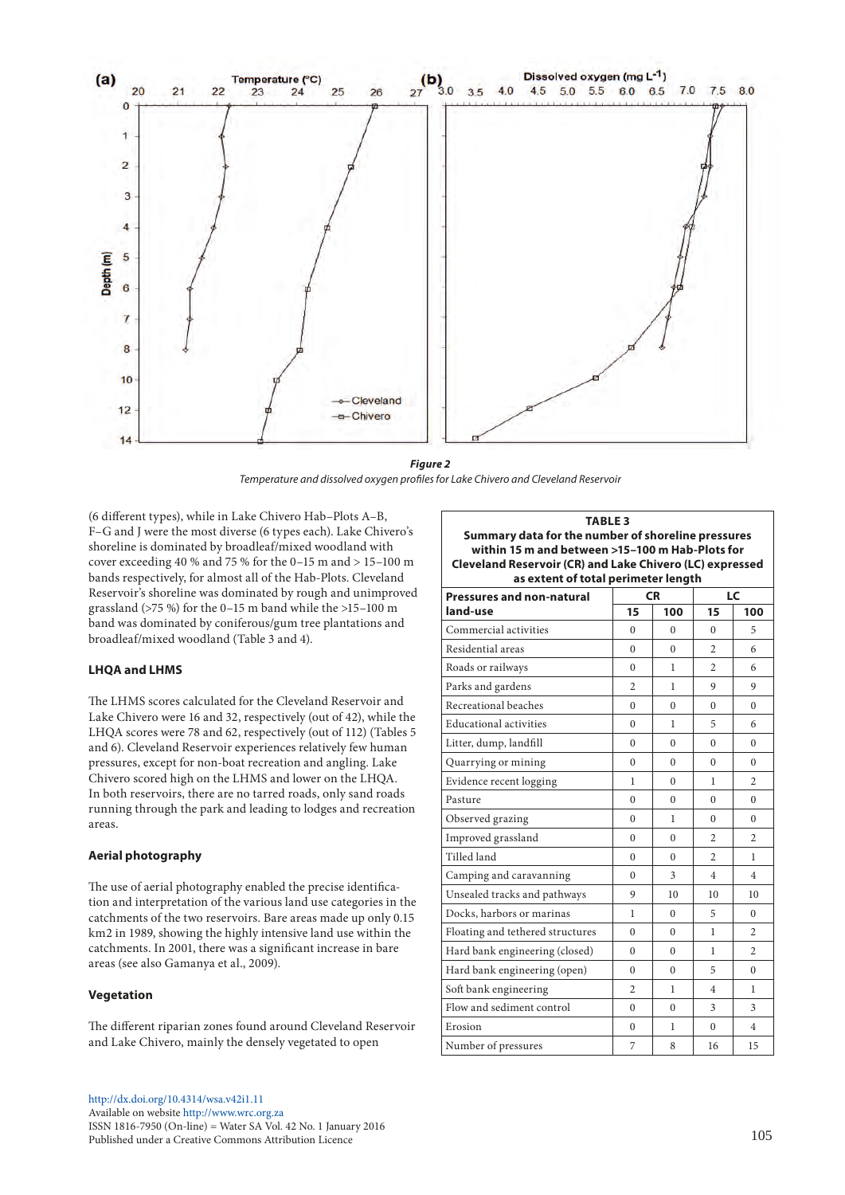

*Figure 2 Temperature and dissolved oxygen profiles for Lake Chivero and Cleveland Reservoir*

(6 different types), while in Lake Chivero Hab–Plots A–B, F–G and J were the most diverse (6 types each). Lake Chivero's shoreline is dominated by broadleaf/mixed woodland with cover exceeding 40 % and 75 % for the 0–15 m and > 15–100 m bands respectively, for almost all of the Hab-Plots. Cleveland Reservoir's shoreline was dominated by rough and unimproved grassland ( $>75\%$ ) for the 0–15 m band while the  $>15-100\;$ m band was dominated by coniferous/gum tree plantations and broadleaf/mixed woodland (Table 3 and 4).

## **LHQA and LHMS**

The LHMS scores calculated for the Cleveland Reservoir and Lake Chivero were 16 and 32, respectively (out of 42), while the LHQA scores were 78 and 62, respectively (out of 112) (Tables 5 and 6). Cleveland Reservoir experiences relatively few human pressures, except for non-boat recreation and angling. Lake Chivero scored high on the LHMS and lower on the LHQA. In both reservoirs, there are no tarred roads, only sand roads running through the park and leading to lodges and recreation areas.

#### **Aerial photography**

The use of aerial photography enabled the precise identification and interpretation of the various land use categories in the catchments of the two reservoirs. Bare areas made up only 0.15 km2 in 1989, showing the highly intensive land use within the catchments. In 2001, there was a significant increase in bare areas (see also Gamanya et al., 2009).

#### **Vegetation**

The different riparian zones found around Cleveland Reservoir and Lake Chivero, mainly the densely vegetated to open

**Summary data for the number of shoreline pressures within 15 m and between >15–100 m Hab-Plots for Cleveland Reservoir (CR) and Lake Chivero (LC) expressed as extent of total perimeter length Pressures and non-natural land-use CR LC 15 100 15 100** Commercial activities 0 0 0 5 Residential areas 0 0 2 6 Roads or railways 0 1 2 6 Parks and gardens  $\begin{array}{|c|c|c|c|c|c|c|c|c|} \hline 2 & 1 & 9 & 9 \ \hline \end{array}$ Recreational beaches 0 0 0 0 Educational activities 0 1 5 6 Litter, dump, landfill 0 0 0 0 Quarrying or mining  $\begin{array}{|c|c|c|c|c|c|c|c|} \hline \text{Quarrying or mining} & \multicolumn{3}{|c|}{0} & \multicolumn{3}{|c|}{0} & \multicolumn{3}{|c|}{0} & \multicolumn{3}{|c|}{0} \\\hline \end{array}$ Evidence recent logging  $\begin{array}{|c|c|c|c|c|c|c|c|c|} \hline 1 & 0 & 1 & 2 \end{array}$ Pasture 0 0 0 0 Observed grazing 0 1 0 0 0 Improved grassland  $\begin{array}{|c|c|c|c|c|c|c|c|c|} \hline 0 & 0 & 2 & 2 \ \hline \end{array}$ Tilled land 0 0 2 1 Camping and caravanning  $\begin{array}{|c|c|c|c|c|c|c|c|} \hline \end{array}$  0  $\begin{array}{|c|c|c|c|c|} \hline \end{array}$  3  $\begin{array}{|c|c|c|c|c|} \hline \end{array}$  4  $\begin{array}{|c|c|c|c|c|} \hline \end{array}$ Unsealed tracks and pathways  $\begin{array}{|c|c|c|c|c|c|} \hline 9 & 10 & 10 & 10 \ \hline \end{array}$ Docks, harbors or marinas  $\begin{array}{|c|c|c|c|c|c|c|c|} \hline 1 & 0 & 5 & 0 \\ \hline \end{array}$ Floating and tethered structures  $\begin{array}{|c|c|c|c|c|c|} \hline 0 & 0 & 1 & 2 \end{array}$ Hard bank engineering (closed)  $\begin{array}{|c|c|c|c|c|c|} \hline 0 & 0 & 1 & 2 \end{array}$ Hard bank engineering (open)  $\begin{array}{|c|c|c|c|c|c|} \hline 0 & 0 & 5 & 0 \ \hline \end{array}$ Soft bank engineering 2 1 4 1 Flow and sediment control  $\begin{array}{|c|c|c|c|c|c|c|c|} \hline 0 & 0 & 3 & 3 \\ \hline \end{array}$ Erosion 0 1 0 4 Number of pressures 7 8 16 15

**TABLE 3**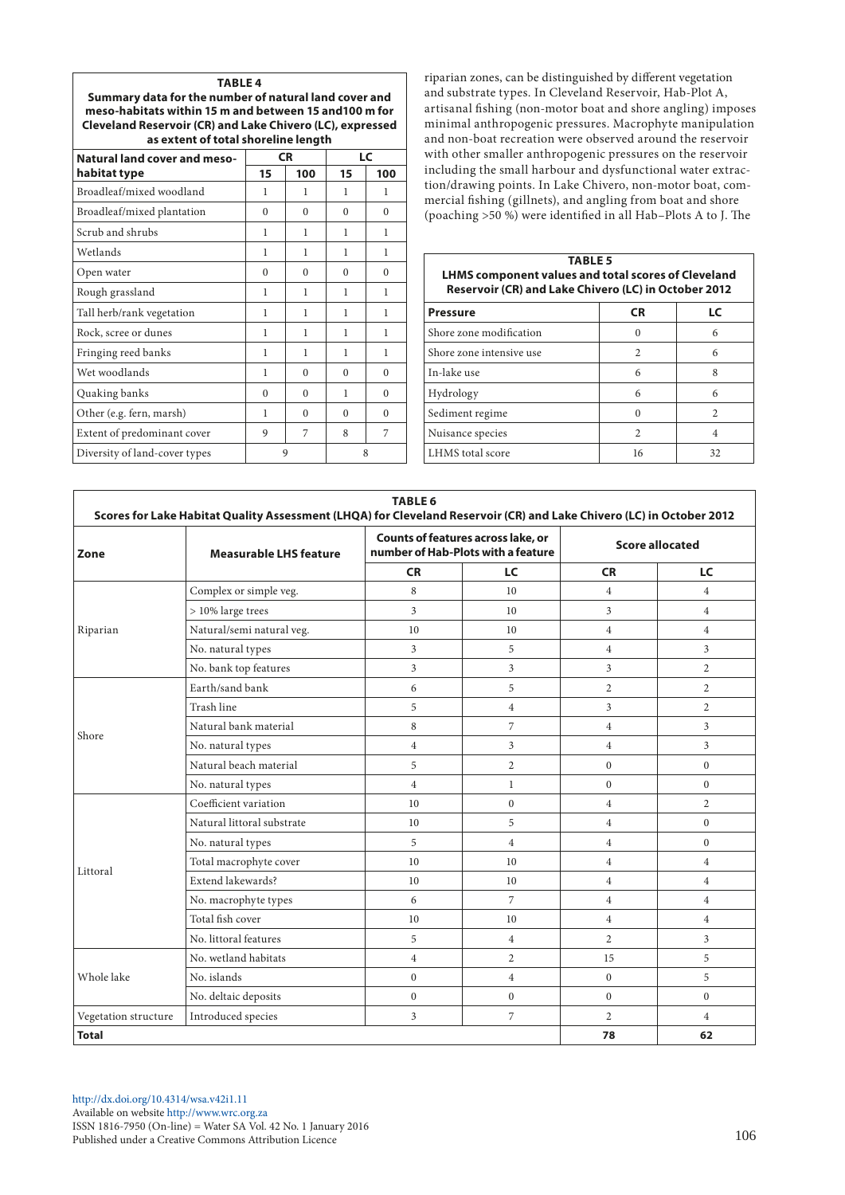| <b>TABLE 4</b>                                            |
|-----------------------------------------------------------|
| Summary data for the number of natural land cover and     |
| meso-habitats within 15 m and between 15 and 100 m for    |
| Cleveland Reservoir (CR) and Lake Chivero (LC), expressed |
| as extent of total shoreline length                       |

**TABLE 4**

| <b>Natural land cover and meso-</b> |          | <b>CR</b> | LC       |          |  |  |  |
|-------------------------------------|----------|-----------|----------|----------|--|--|--|
| habitat type                        | 15       | 100       | 15       | 100      |  |  |  |
| Broadleaf/mixed woodland            | 1        | 1         | 1        | 1        |  |  |  |
| Broadleaf/mixed plantation          | $\Omega$ | $\Omega$  | $\Omega$ | $\Omega$ |  |  |  |
| Scrub and shrubs                    | 1        | 1         | 1        | 1        |  |  |  |
| Wetlands                            | 1        | 1         | 1        | 1        |  |  |  |
| Open water                          | $\Omega$ | $\Omega$  | $\Omega$ | $\theta$ |  |  |  |
| Rough grassland                     | 1        | 1         | 1        | 1        |  |  |  |
| Tall herb/rank vegetation           | 1        | 1         | 1        | 1        |  |  |  |
| Rock, scree or dunes                | 1        | 1         | 1        | 1        |  |  |  |
| Fringing reed banks                 | 1        | 1         | 1        | 1        |  |  |  |
| Wet woodlands                       | 1        | $^{0}$    | $\Omega$ | $^{0}$   |  |  |  |
| Quaking banks                       | $\Omega$ | $\Omega$  | 1        | $\Omega$ |  |  |  |
| Other (e.g. fern, marsh)            | 1        | $\Omega$  | $\Omega$ | $\theta$ |  |  |  |
| Extent of predominant cover         | 9        | 7         | 8        | 7        |  |  |  |
| Diversity of land-cover types       |          | 9         | 8        |          |  |  |  |

riparian zones, can be distinguished by different vegetation and substrate types. In Cleveland Reservoir, Hab-Plot A, artisanal fishing (non-motor boat and shore angling) imposes minimal anthropogenic pressures. Macrophyte manipulation and non-boat recreation were observed around the reservoir with other smaller anthropogenic pressures on the reservoir including the small harbour and dysfunctional water extraction/drawing points. In Lake Chivero, non-motor boat, commercial fishing (gillnets), and angling from boat and shore (poaching >50 %) were identified in all Hab–Plots A to J. The

| <b>TABLE 5</b><br><b>LHMS component values and total scores of Cleveland</b><br>Reservoir (CR) and Lake Chivero (LC) in October 2012 |                    |                |  |  |  |  |  |  |  |  |
|--------------------------------------------------------------------------------------------------------------------------------------|--------------------|----------------|--|--|--|--|--|--|--|--|
| <b>Pressure</b>                                                                                                                      | <b>CR</b>          | LC             |  |  |  |  |  |  |  |  |
| Shore zone modification                                                                                                              | $\Omega$           | 6              |  |  |  |  |  |  |  |  |
| Shore zone intensive use                                                                                                             | $\mathfrak{D}_{1}$ | 6              |  |  |  |  |  |  |  |  |
| In-lake use                                                                                                                          | 6                  | 8              |  |  |  |  |  |  |  |  |
| Hydrology                                                                                                                            | 6                  | 6              |  |  |  |  |  |  |  |  |
| Sediment regime                                                                                                                      | 0                  | $\mathfrak{D}$ |  |  |  |  |  |  |  |  |
| Nuisance species                                                                                                                     | $\mathfrak{D}$     | 4              |  |  |  |  |  |  |  |  |
| LHMS total score                                                                                                                     | 16                 | 32             |  |  |  |  |  |  |  |  |

|                        | Scores for Lake Habitat Quality Assessment (LHQA) for Cleveland Reservoir (CR) and Lake Chivero (LC) in October 2012                                                                                                                                                                                   | <b>TABLE 6</b> |                                                                                 |                                                                                                                                                                                                                                                                                                                                                                                                              |                |
|------------------------|--------------------------------------------------------------------------------------------------------------------------------------------------------------------------------------------------------------------------------------------------------------------------------------------------------|----------------|---------------------------------------------------------------------------------|--------------------------------------------------------------------------------------------------------------------------------------------------------------------------------------------------------------------------------------------------------------------------------------------------------------------------------------------------------------------------------------------------------------|----------------|
| Zone                   | <b>Measurable LHS feature</b>                                                                                                                                                                                                                                                                          |                | <b>Counts of features across lake, or</b><br>number of Hab-Plots with a feature |                                                                                                                                                                                                                                                                                                                                                                                                              |                |
|                        |                                                                                                                                                                                                                                                                                                        | <b>CR</b>      | LC                                                                              | <b>Score allocated</b><br><b>CR</b><br>$\overline{4}$<br>3<br>$\overline{4}$<br>$\overline{4}$<br>3<br>$\overline{2}$<br>3<br>$\overline{4}$<br>$\overline{4}$<br>$\mathbf{0}$<br>$\mathbf{0}$<br>$\overline{4}$<br>$\overline{4}$<br>$\overline{4}$<br>$\overline{4}$<br>$\overline{4}$<br>$\overline{4}$<br>$\overline{4}$<br>$\overline{2}$<br>15<br>$\mathbf{0}$<br>$\mathbf{0}$<br>$\overline{2}$<br>78 | LC             |
|                        | Complex or simple veg.                                                                                                                                                                                                                                                                                 | 8              | 10                                                                              |                                                                                                                                                                                                                                                                                                                                                                                                              | $\overline{4}$ |
|                        | > 10% large trees                                                                                                                                                                                                                                                                                      | 3              | 10 <sup>1</sup>                                                                 |                                                                                                                                                                                                                                                                                                                                                                                                              | $\overline{4}$ |
| Riparian               | Natural/semi natural veg.                                                                                                                                                                                                                                                                              | 10             | 10                                                                              |                                                                                                                                                                                                                                                                                                                                                                                                              | $\overline{4}$ |
|                        | No. natural types                                                                                                                                                                                                                                                                                      | 3              | 5                                                                               |                                                                                                                                                                                                                                                                                                                                                                                                              | 3              |
|                        | No. bank top features                                                                                                                                                                                                                                                                                  | $\overline{3}$ | 3                                                                               |                                                                                                                                                                                                                                                                                                                                                                                                              | 2              |
|                        | Earth/sand bank                                                                                                                                                                                                                                                                                        | 6              | 5                                                                               |                                                                                                                                                                                                                                                                                                                                                                                                              | $\overline{2}$ |
|                        | Trash line                                                                                                                                                                                                                                                                                             | 5              | $\overline{4}$                                                                  |                                                                                                                                                                                                                                                                                                                                                                                                              | 2              |
|                        | Natural bank material                                                                                                                                                                                                                                                                                  | 8              | 7                                                                               |                                                                                                                                                                                                                                                                                                                                                                                                              | 3              |
|                        | No. natural types                                                                                                                                                                                                                                                                                      | $\overline{4}$ | 3                                                                               |                                                                                                                                                                                                                                                                                                                                                                                                              | 3              |
|                        | Natural beach material                                                                                                                                                                                                                                                                                 | 5              | $\overline{2}$                                                                  |                                                                                                                                                                                                                                                                                                                                                                                                              | $\mathbf{0}$   |
|                        | No. natural types<br>Coefficient variation<br>Natural littoral substrate<br>No. natural types<br>Total macrophyte cover<br>Extend lakewards?<br>No. macrophyte types<br>Total fish cover<br>No. littoral features<br>No. wetland habitats<br>No. islands<br>No. deltaic deposits<br>Introduced species | $\overline{4}$ | $\mathbf{1}$                                                                    |                                                                                                                                                                                                                                                                                                                                                                                                              | $\mathbf{0}$   |
|                        |                                                                                                                                                                                                                                                                                                        | 10             | $\Omega$                                                                        |                                                                                                                                                                                                                                                                                                                                                                                                              | $\overline{2}$ |
|                        |                                                                                                                                                                                                                                                                                                        | 10             | 5                                                                               |                                                                                                                                                                                                                                                                                                                                                                                                              | $\Omega$       |
|                        |                                                                                                                                                                                                                                                                                                        | 5              | $\overline{4}$                                                                  |                                                                                                                                                                                                                                                                                                                                                                                                              | $\mathbf{0}$   |
|                        |                                                                                                                                                                                                                                                                                                        | 10             | 10                                                                              |                                                                                                                                                                                                                                                                                                                                                                                                              | $\overline{4}$ |
|                        |                                                                                                                                                                                                                                                                                                        | 10             | 10                                                                              |                                                                                                                                                                                                                                                                                                                                                                                                              | $\overline{4}$ |
|                        |                                                                                                                                                                                                                                                                                                        | 6              | 7                                                                               |                                                                                                                                                                                                                                                                                                                                                                                                              | $\overline{4}$ |
| Shore                  |                                                                                                                                                                                                                                                                                                        | 10             | 10                                                                              |                                                                                                                                                                                                                                                                                                                                                                                                              | $\overline{4}$ |
|                        |                                                                                                                                                                                                                                                                                                        | 5              | $\overline{4}$                                                                  |                                                                                                                                                                                                                                                                                                                                                                                                              | 3              |
|                        |                                                                                                                                                                                                                                                                                                        | $\overline{4}$ | $\overline{2}$                                                                  |                                                                                                                                                                                                                                                                                                                                                                                                              | 5              |
| Littoral<br>Whole lake |                                                                                                                                                                                                                                                                                                        | $\mathbf{0}$   | $\overline{4}$                                                                  |                                                                                                                                                                                                                                                                                                                                                                                                              | 5              |
|                        |                                                                                                                                                                                                                                                                                                        | $\mathbf{0}$   | $\mathbf{0}$                                                                    |                                                                                                                                                                                                                                                                                                                                                                                                              | $\mathbf{0}$   |
| Vegetation structure   |                                                                                                                                                                                                                                                                                                        | $\overline{3}$ | 7                                                                               |                                                                                                                                                                                                                                                                                                                                                                                                              | $\overline{4}$ |
| <b>Total</b>           |                                                                                                                                                                                                                                                                                                        |                |                                                                                 |                                                                                                                                                                                                                                                                                                                                                                                                              | 62             |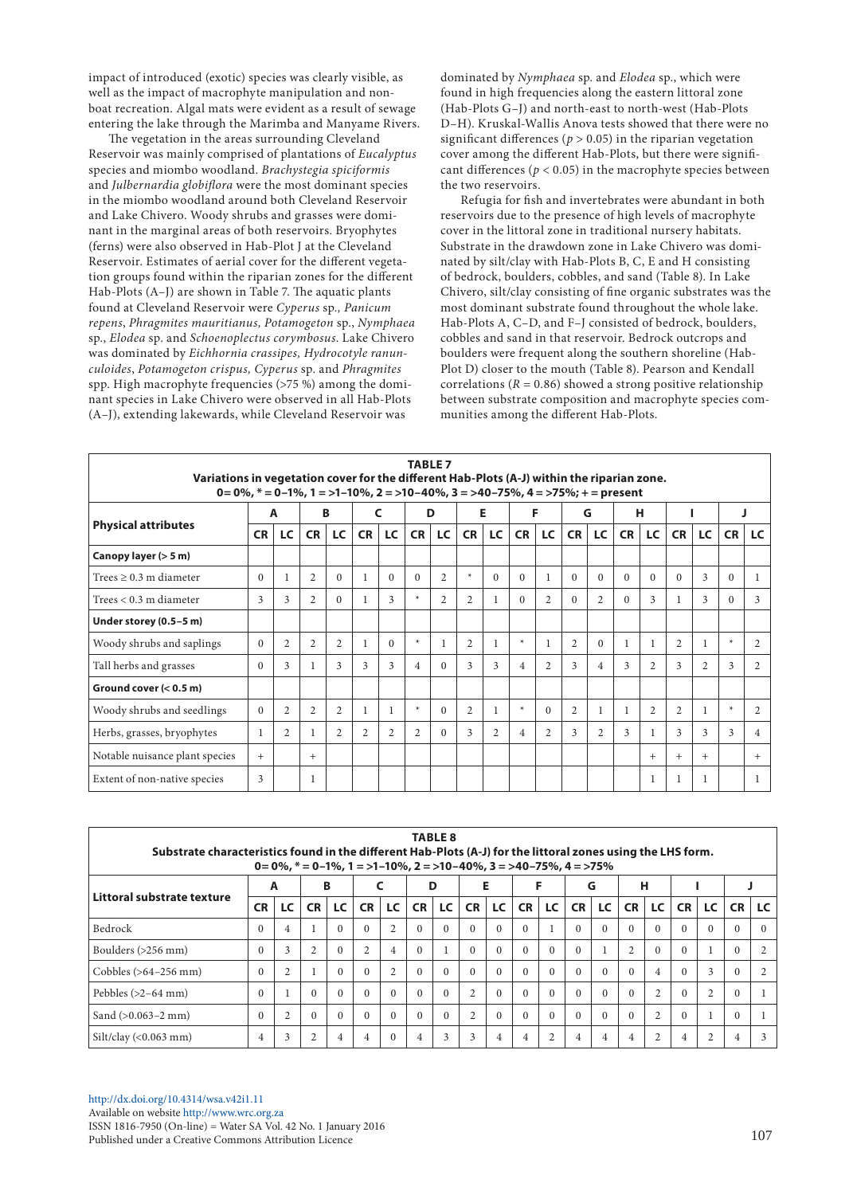impact of introduced (exotic) species was clearly visible, as well as the impact of macrophyte manipulation and nonboat recreation. Algal mats were evident as a result of sewage entering the lake through the Marimba and Manyame Rivers.

The vegetation in the areas surrounding Cleveland Reservoir was mainly comprised of plantations of *Eucalyptus* species and miombo woodland. *Brachystegia spiciformis* and *Julbernardia globiflora* were the most dominant species in the miombo woodland around both Cleveland Reservoir and Lake Chivero. Woody shrubs and grasses were dominant in the marginal areas of both reservoirs. Bryophytes (ferns) were also observed in Hab-Plot J at the Cleveland Reservoir. Estimates of aerial cover for the different vegetation groups found within the riparian zones for the different Hab-Plots (A–J) are shown in Table 7. The aquatic plants found at Cleveland Reservoir were *Cyperus* sp*., Panicum repens*, *Phragmites mauritianus, Potamogeton* sp., *Nymphaea* sp., *Elodea* sp. and *Schoenoplectus corymbosus*. Lake Chivero was dominated by *Eichhornia crassipes, Hydrocotyle ranunculoides*, *Potamogeton crispus, Cyperus* sp. and *Phragmites* spp. High macrophyte frequencies (>75 %) among the dominant species in Lake Chivero were observed in all Hab-Plots (A–J), extending lakewards, while Cleveland Reservoir was

dominated by *Nymphaea* sp. and *Elodea* sp., which were found in high frequencies along the eastern littoral zone (Hab-Plots G–J) and north-east to north-west (Hab-Plots D–H). Kruskal-Wallis Anova tests showed that there were no significant differences ( $p > 0.05$ ) in the riparian vegetation cover among the different Hab-Plots, but there were significant differences ( $p < 0.05$ ) in the macrophyte species between the two reservoirs.

Refugia for fish and invertebrates were abundant in both reservoirs due to the presence of high levels of macrophyte cover in the littoral zone in traditional nursery habitats. Substrate in the drawdown zone in Lake Chivero was dominated by silt/clay with Hab-Plots B, C, E and H consisting of bedrock, boulders, cobbles, and sand (Table 8). In Lake Chivero, silt/clay consisting of fine organic substrates was the most dominant substrate found throughout the whole lake. Hab-Plots A, C–D, and F–J consisted of bedrock, boulders, cobbles and sand in that reservoir. Bedrock outcrops and boulders were frequent along the southern shoreline (Hab-Plot D) closer to the mouth (Table 8). Pearson and Kendall correlations ( $R = 0.86$ ) showed a strong positive relationship between substrate composition and macrophyte species communities among the different Hab-Plots.

| <b>TABLE 7</b><br>Variations in vegetation cover for the different Hab-Plots (A-J) within the riparian zone.<br>0= 0%, $*$ = 0-1%, 1 = >1-10%, 2 = >10-40%, 3 = >40-75%, 4 = >75%; + = present |           |                |                |                |                |              |                |                |                |                |                |                |                |                |           |                |                |                |          |                |
|------------------------------------------------------------------------------------------------------------------------------------------------------------------------------------------------|-----------|----------------|----------------|----------------|----------------|--------------|----------------|----------------|----------------|----------------|----------------|----------------|----------------|----------------|-----------|----------------|----------------|----------------|----------|----------------|
|                                                                                                                                                                                                | A         |                | В              |                |                | C            |                | D              | Е              |                | F              |                | G              |                |           | н              |                |                |          |                |
| <b>Physical attributes</b>                                                                                                                                                                     | <b>CR</b> | LC             | <b>CR</b>      | LC             | <b>CR</b>      | <b>LC</b>    | <b>CR</b>      | LC             | <b>CR</b>      | <b>LC</b>      | <b>CR</b>      | LC             | <b>CR</b>      | <b>LC</b>      | <b>CR</b> | LC             | <b>CR</b>      | LC .           | CR       | LC             |
| Canopy layer (> 5 m)                                                                                                                                                                           |           |                |                |                |                |              |                |                |                |                |                |                |                |                |           |                |                |                |          |                |
| Trees $\geq 0.3$ m diameter                                                                                                                                                                    | $\Omega$  | -1             | $\overline{2}$ | $\Omega$       | $\mathbf{1}$   | $\Omega$     | $\Omega$       | $\overline{2}$ | $\ast$         | $\Omega$       | $\Omega$       | $\mathbf{1}$   | $\Omega$       | $\Omega$       | $\Omega$  | $\Omega$       | $\Omega$       | 3              | $\Omega$ | 1              |
| Trees $< 0.3$ m diameter                                                                                                                                                                       | 3         | 3              | $\overline{c}$ | $\Omega$       | $\mathbf{1}$   | $\mathbf{3}$ | $\ast$         | 2              | 2              |                | $\Omega$       | $\overline{c}$ | $\Omega$       | $\overline{c}$ | $\Omega$  | 3              | 1              | 3              | $\Omega$ | 3              |
| Under storey (0.5-5 m)                                                                                                                                                                         |           |                |                |                |                |              |                |                |                |                |                |                |                |                |           |                |                |                |          |                |
| Woody shrubs and saplings                                                                                                                                                                      | $\Omega$  | $\overline{2}$ | $\overline{2}$ | $\overline{c}$ | $\mathbf{1}$   | $\Omega$     | $\ast$         |                | $\overline{2}$ | 1              | $\ast$         | 1              | 2              | $\Omega$       |           |                | $\overline{2}$ | 1              | $\ast$   | $\overline{2}$ |
| Tall herbs and grasses                                                                                                                                                                         | $\Omega$  | 3              |                | 3              | 3              | $\mathbf{3}$ | 4              | $\Omega$       | 3              | 3              | $\overline{4}$ | 2              | $\mathbf{3}$   | 4              | 3         | $\overline{2}$ | 3              | $\overline{c}$ | 3        | 2              |
| Ground cover $(< 0.5$ m)                                                                                                                                                                       |           |                |                |                |                |              |                |                |                |                |                |                |                |                |           |                |                |                |          |                |
| Woody shrubs and seedlings                                                                                                                                                                     | $\Omega$  | 2              | $\overline{2}$ | $\overline{2}$ | 1              | 1            | $\ast$         | $\Omega$       | $\overline{2}$ |                | $\ast$         | $\Omega$       | $\overline{c}$ |                |           | $\overline{2}$ | $\overline{2}$ | 1              | $\ast$   | $\overline{2}$ |
| Herbs, grasses, bryophytes                                                                                                                                                                     |           | 2              |                | $\overline{2}$ | $\overline{2}$ | 2            | $\overline{2}$ | $\Omega$       | 3              | $\overline{2}$ | $\overline{4}$ | 2              | 3              | $\overline{2}$ | 3         |                | 3              | 3              | 3        | $\overline{4}$ |
| Notable nuisance plant species                                                                                                                                                                 | $+$       |                | $+$            |                |                |              |                |                |                |                |                |                |                |                |           | $+$            | $+$            | $+$            |          | $+$            |
| Extent of non-native species                                                                                                                                                                   | 3         |                | 1              |                |                |              |                |                |                |                |                |                |                |                |           |                |                | 1              |          |                |

| <b>TABLE 8</b><br>Substrate characteristics found in the different Hab-Plots (A-J) for the littoral zones using the LHS form.<br>$0 = 0\%$ , $* = 0-1\%$ , $1 = >1-10\%$ , $2 = >10-40\%$ , $3 = >40-75\%$ , $4 = >75\%$ |           |                |                |          |                |                |           |    |                |          |           |                |           |          |                |                |           |                |           |    |
|--------------------------------------------------------------------------------------------------------------------------------------------------------------------------------------------------------------------------|-----------|----------------|----------------|----------|----------------|----------------|-----------|----|----------------|----------|-----------|----------------|-----------|----------|----------------|----------------|-----------|----------------|-----------|----|
| Littoral substrate texture                                                                                                                                                                                               | A         |                | B              |          |                |                | D         |    | Е              |          | F         |                | G         |          | н              |                |           |                |           |    |
|                                                                                                                                                                                                                          | <b>CR</b> | LC             | <b>CR</b>      | LC       | <b>CR</b>      | LC             | <b>CR</b> | LC | <b>CR</b>      | LC.      | <b>CR</b> | LC             | <b>CR</b> | LC.      | <b>CR</b>      | LC             | <b>CR</b> | LC             | <b>CR</b> | LC |
| Bedrock                                                                                                                                                                                                                  |           | 4              |                | $\Omega$ | $\Omega$       | 2              | $\Omega$  |    | $\Omega$       | $\Omega$ | $\Omega$  |                | $\Omega$  | $\Omega$ | $\Omega$       |                | $\Omega$  | $\Omega$       | $\theta$  |    |
| Boulders (>256 mm)                                                                                                                                                                                                       |           | 3              | $\overline{2}$ | $\Omega$ | $\overline{2}$ | $\overline{4}$ | $\Omega$  |    | $\Omega$       | $\Omega$ | $\Omega$  | $\Omega$       | $\Omega$  |          | $\overline{c}$ |                | $\Omega$  |                | $\Omega$  |    |
| Cobbles (>64-256 mm)                                                                                                                                                                                                     | $\Omega$  | $\overline{c}$ |                | $\Omega$ | $\Omega$       | 2              | $\Omega$  |    | $\Omega$       | $\Omega$ | $\Omega$  | $\Omega$       | $\Omega$  | $\theta$ | $\Omega$       | 4              | $\Omega$  | 3              | $\Omega$  |    |
| Pebbles $(>2-64$ mm)                                                                                                                                                                                                     |           |                | $\Omega$       | $\Omega$ | $\Omega$       | $\Omega$       | $\Omega$  |    | $\overline{c}$ | $\Omega$ | $\Omega$  | $\Omega$       | $\Omega$  | $\Omega$ | $\Omega$       | 2              | $\Omega$  | $\overline{c}$ | $\Omega$  |    |
| Sand $(>0.063-2$ mm)                                                                                                                                                                                                     | u         | $\overline{c}$ | $\Omega$       | $\Omega$ | $\Omega$       | $\Omega$       | $\Omega$  |    | $\overline{c}$ | $\Omega$ | $\Omega$  | $\Omega$       | $\Omega$  | $\Omega$ | 0              | $\overline{2}$ | $\Omega$  |                | $\Omega$  |    |
| $Silt/clav$ (<0.063 mm)                                                                                                                                                                                                  | 4         | 3              | $\overline{c}$ | 4        | 4              | $\Omega$       | 4         | 3  | 3              | 4        | 4         | $\overline{c}$ | 4         | 4        |                |                | 4         | $\overline{c}$ | 4         |    |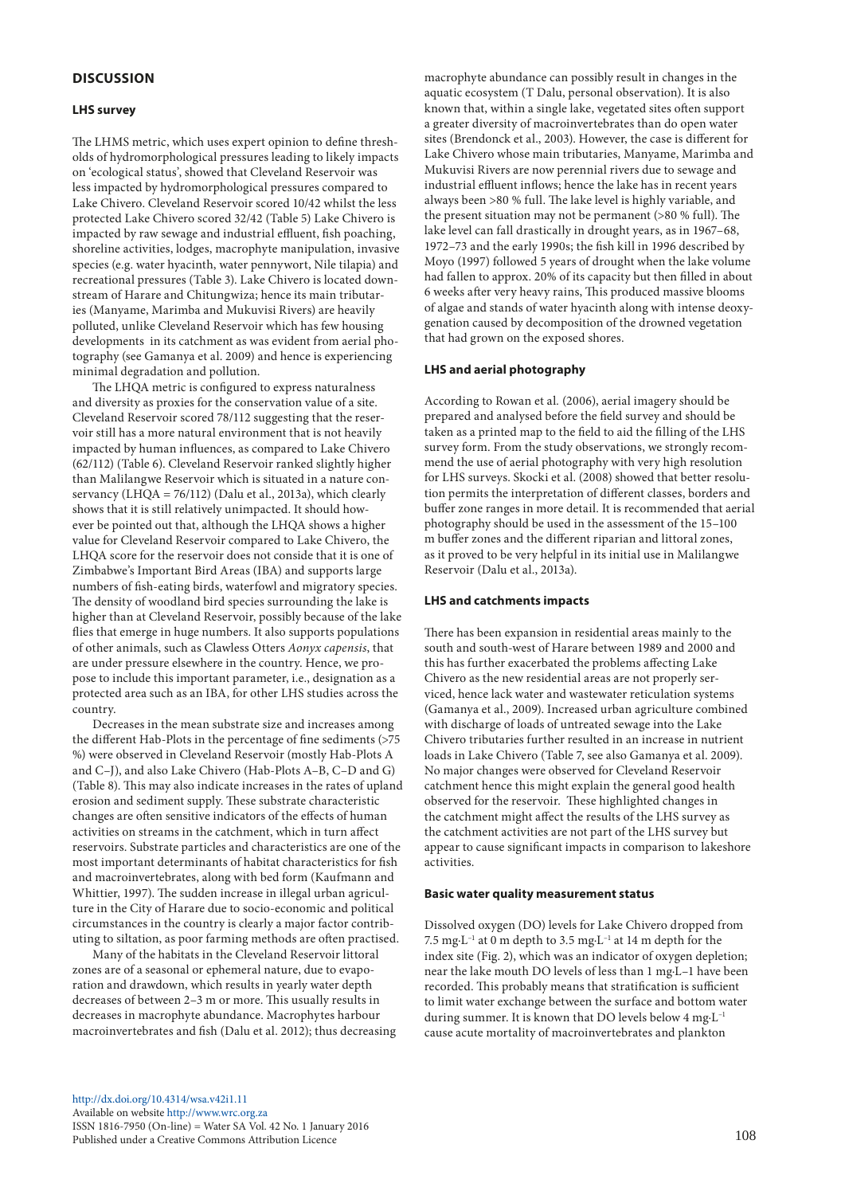## **DISCUSSION**

#### **LHS survey**

The LHMS metric, which uses expert opinion to define thresholds of hydromorphological pressures leading to likely impacts on 'ecological status', showed that Cleveland Reservoir was less impacted by hydromorphological pressures compared to Lake Chivero. Cleveland Reservoir scored 10/42 whilst the less protected Lake Chivero scored 32/42 (Table 5) Lake Chivero is impacted by raw sewage and industrial effluent, fish poaching, shoreline activities, lodges, macrophyte manipulation, invasive species (e.g. water hyacinth, water pennywort, Nile tilapia) and recreational pressures (Table 3). Lake Chivero is located downstream of Harare and Chitungwiza; hence its main tributaries (Manyame, Marimba and Mukuvisi Rivers) are heavily polluted, unlike Cleveland Reservoir which has few housing developments in its catchment as was evident from aerial photography (see Gamanya et al. 2009) and hence is experiencing minimal degradation and pollution.

The LHQA metric is configured to express naturalness and diversity as proxies for the conservation value of a site. Cleveland Reservoir scored 78/112 suggesting that the reservoir still has a more natural environment that is not heavily impacted by human influences, as compared to Lake Chivero (62/112) (Table 6). Cleveland Reservoir ranked slightly higher than Malilangwe Reservoir which is situated in a nature conservancy (LHOA =  $76/112$ ) (Dalu et al., 2013a), which clearly shows that it is still relatively unimpacted. It should however be pointed out that, although the LHQA shows a higher value for Cleveland Reservoir compared to Lake Chivero, the LHQA score for the reservoir does not conside that it is one of Zimbabwe's Important Bird Areas (IBA) and supports large numbers of fish-eating birds, waterfowl and migratory species. The density of woodland bird species surrounding the lake is higher than at Cleveland Reservoir, possibly because of the lake flies that emerge in huge numbers. It also supports populations of other animals, such as Clawless Otters *Aonyx capensis*, that are under pressure elsewhere in the country. Hence, we propose to include this important parameter, i.e., designation as a protected area such as an IBA, for other LHS studies across the country.

Decreases in the mean substrate size and increases among the different Hab-Plots in the percentage of fine sediments (>75 %) were observed in Cleveland Reservoir (mostly Hab-Plots A and C–J), and also Lake Chivero (Hab-Plots A–B, C–D and G) (Table 8). This may also indicate increases in the rates of upland erosion and sediment supply. These substrate characteristic changes are often sensitive indicators of the effects of human activities on streams in the catchment, which in turn affect reservoirs. Substrate particles and characteristics are one of the most important determinants of habitat characteristics for fish and macroinvertebrates, along with bed form (Kaufmann and Whittier, 1997). The sudden increase in illegal urban agriculture in the City of Harare due to socio-economic and political circumstances in the country is clearly a major factor contributing to siltation, as poor farming methods are often practised.

Many of the habitats in the Cleveland Reservoir littoral zones are of a seasonal or ephemeral nature, due to evaporation and drawdown, which results in yearly water depth decreases of between 2–3 m or more. This usually results in decreases in macrophyte abundance. Macrophytes harbour macroinvertebrates and fish (Dalu et al. 2012); thus decreasing

[http://dx.doi.org/10.4314/wsa.v42i1.1](http://dx.doi.org/10.4314/wsa.v42i1.11)1 Available on website <http://www.wrc.org.za> ISSN 1816-7950 (On-line) = Water SA Vol. 42 No. 1 January 2016 Published under a Creative Commons Attribution Licence

macrophyte abundance can possibly result in changes in the aquatic ecosystem (T Dalu, personal observation). It is also known that, within a single lake, vegetated sites often support a greater diversity of macroinvertebrates than do open water sites (Brendonck et al., 2003). However, the case is different for Lake Chivero whose main tributaries, Manyame, Marimba and Mukuvisi Rivers are now perennial rivers due to sewage and industrial effluent inflows; hence the lake has in recent years always been >80 % full. The lake level is highly variable, and the present situation may not be permanent (>80 % full). The lake level can fall drastically in drought years, as in 1967–68, 1972–73 and the early 1990s; the fish kill in 1996 described by Moyo (1997) followed 5 years of drought when the lake volume had fallen to approx. 20% of its capacity but then filled in about 6 weeks after very heavy rains, This produced massive blooms of algae and stands of water hyacinth along with intense deoxygenation caused by decomposition of the drowned vegetation that had grown on the exposed shores.

#### **LHS and aerial photography**

According to Rowan et al*.* (2006), aerial imagery should be prepared and analysed before the field survey and should be taken as a printed map to the field to aid the filling of the LHS survey form. From the study observations, we strongly recommend the use of aerial photography with very high resolution for LHS surveys. Skocki et al. (2008) showed that better resolution permits the interpretation of different classes, borders and buffer zone ranges in more detail. It is recommended that aerial photography should be used in the assessment of the 15–100 m buffer zones and the different riparian and littoral zones, as it proved to be very helpful in its initial use in Malilangwe Reservoir (Dalu et al., 2013a).

#### **LHS and catchments impacts**

There has been expansion in residential areas mainly to the south and south-west of Harare between 1989 and 2000 and this has further exacerbated the problems affecting Lake Chivero as the new residential areas are not properly serviced, hence lack water and wastewater reticulation systems (Gamanya et al., 2009). Increased urban agriculture combined with discharge of loads of untreated sewage into the Lake Chivero tributaries further resulted in an increase in nutrient loads in Lake Chivero (Table 7, see also Gamanya et al. 2009). No major changes were observed for Cleveland Reservoir catchment hence this might explain the general good health observed for the reservoir. These highlighted changes in the catchment might affect the results of the LHS survey as the catchment activities are not part of the LHS survey but appear to cause significant impacts in comparison to lakeshore activities.

### **Basic water quality measurement status**

Dissolved oxygen (DO) levels for Lake Chivero dropped from 7.5 mg $L^{-1}$  at 0 m depth to 3.5 mg $L^{-1}$  at 14 m depth for the index site (Fig. 2), which was an indicator of oxygen depletion; near the lake mouth DO levels of less than 1 mg·L–1 have been recorded. This probably means that stratification is sufficient to limit water exchange between the surface and bottom water during summer. It is known that DO levels below 4 mg·L<sup>-1</sup> cause acute mortality of macroinvertebrates and plankton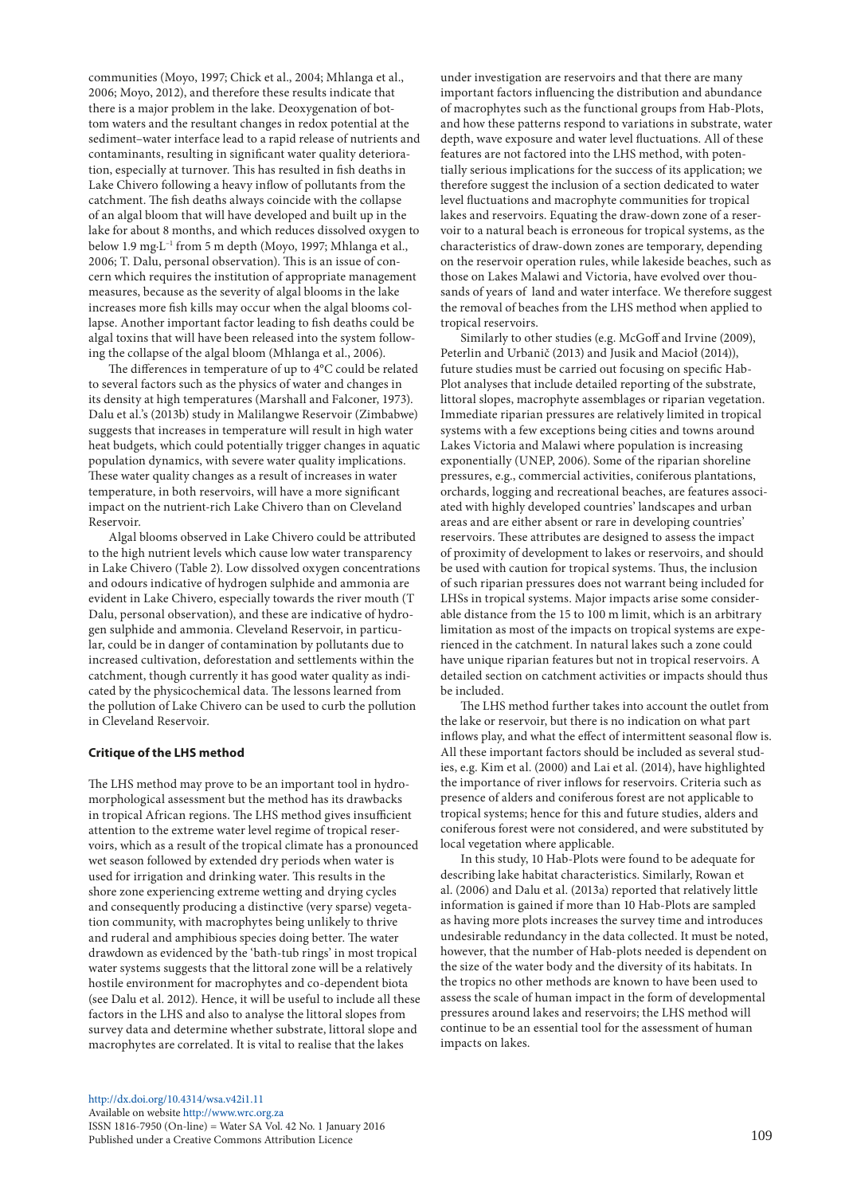communities (Moyo, 1997; Chick et al., 2004; Mhlanga et al., 2006; Moyo, 2012), and therefore these results indicate that there is a major problem in the lake. Deoxygenation of bottom waters and the resultant changes in redox potential at the sediment–water interface lead to a rapid release of nutrients and contaminants, resulting in significant water quality deterioration, especially at turnover. This has resulted in fish deaths in Lake Chivero following a heavy inflow of pollutants from the catchment. The fish deaths always coincide with the collapse of an algal bloom that will have developed and built up in the lake for about 8 months, and which reduces dissolved oxygen to below 1.9 mg·L–1 from 5 m depth (Moyo, 1997; Mhlanga et al., 2006; T. Dalu, personal observation). This is an issue of concern which requires the institution of appropriate management measures, because as the severity of algal blooms in the lake increases more fish kills may occur when the algal blooms collapse. Another important factor leading to fish deaths could be algal toxins that will have been released into the system following the collapse of the algal bloom (Mhlanga et al., 2006).

The differences in temperature of up to 4°C could be related to several factors such as the physics of water and changes in its density at high temperatures (Marshall and Falconer, 1973). Dalu et al.'s (2013b) study in Malilangwe Reservoir (Zimbabwe) suggests that increases in temperature will result in high water heat budgets, which could potentially trigger changes in aquatic population dynamics, with severe water quality implications. These water quality changes as a result of increases in water temperature, in both reservoirs, will have a more significant impact on the nutrient-rich Lake Chivero than on Cleveland Reservoir.

Algal blooms observed in Lake Chivero could be attributed to the high nutrient levels which cause low water transparency in Lake Chivero (Table 2). Low dissolved oxygen concentrations and odours indicative of hydrogen sulphide and ammonia are evident in Lake Chivero, especially towards the river mouth (T Dalu, personal observation), and these are indicative of hydrogen sulphide and ammonia. Cleveland Reservoir, in particular, could be in danger of contamination by pollutants due to increased cultivation, deforestation and settlements within the catchment, though currently it has good water quality as indicated by the physicochemical data. The lessons learned from the pollution of Lake Chivero can be used to curb the pollution in Cleveland Reservoir.

## **Critique of the LHS method**

The LHS method may prove to be an important tool in hydromorphological assessment but the method has its drawbacks in tropical African regions. The LHS method gives insufficient attention to the extreme water level regime of tropical reservoirs, which as a result of the tropical climate has a pronounced wet season followed by extended dry periods when water is used for irrigation and drinking water. This results in the shore zone experiencing extreme wetting and drying cycles and consequently producing a distinctive (very sparse) vegetation community, with macrophytes being unlikely to thrive and ruderal and amphibious species doing better. The water drawdown as evidenced by the 'bath-tub rings' in most tropical water systems suggests that the littoral zone will be a relatively hostile environment for macrophytes and co-dependent biota (see Dalu et al. 2012). Hence, it will be useful to include all these factors in the LHS and also to analyse the littoral slopes from survey data and determine whether substrate, littoral slope and macrophytes are correlated. It is vital to realise that the lakes

under investigation are reservoirs and that there are many important factors influencing the distribution and abundance of macrophytes such as the functional groups from Hab-Plots, and how these patterns respond to variations in substrate, water depth, wave exposure and water level fluctuations. All of these features are not factored into the LHS method, with potentially serious implications for the success of its application; we therefore suggest the inclusion of a section dedicated to water level fluctuations and macrophyte communities for tropical lakes and reservoirs. Equating the draw-down zone of a reservoir to a natural beach is erroneous for tropical systems, as the characteristics of draw-down zones are temporary, depending on the reservoir operation rules, while lakeside beaches, such as those on Lakes Malawi and Victoria, have evolved over thousands of years of land and water interface. We therefore suggest the removal of beaches from the LHS method when applied to tropical reservoirs.

Similarly to other studies (e.g. McGoff and Irvine (2009), Peterlin and Urbanič (2013) and Jusik and Macioł (2014)), future studies must be carried out focusing on specific Hab-Plot analyses that include detailed reporting of the substrate, littoral slopes, macrophyte assemblages or riparian vegetation. Immediate riparian pressures are relatively limited in tropical systems with a few exceptions being cities and towns around Lakes Victoria and Malawi where population is increasing exponentially (UNEP, 2006). Some of the riparian shoreline pressures, e.g., commercial activities, coniferous plantations, orchards, logging and recreational beaches, are features associated with highly developed countries' landscapes and urban areas and are either absent or rare in developing countries' reservoirs. These attributes are designed to assess the impact of proximity of development to lakes or reservoirs, and should be used with caution for tropical systems. Thus, the inclusion of such riparian pressures does not warrant being included for LHSs in tropical systems. Major impacts arise some considerable distance from the 15 to 100 m limit, which is an arbitrary limitation as most of the impacts on tropical systems are experienced in the catchment. In natural lakes such a zone could have unique riparian features but not in tropical reservoirs. A detailed section on catchment activities or impacts should thus be included.

The LHS method further takes into account the outlet from the lake or reservoir, but there is no indication on what part inflows play, and what the effect of intermittent seasonal flow is. All these important factors should be included as several studies, e.g. Kim et al. (2000) and Lai et al. (2014), have highlighted the importance of river inflows for reservoirs. Criteria such as presence of alders and coniferous forest are not applicable to tropical systems; hence for this and future studies, alders and coniferous forest were not considered, and were substituted by local vegetation where applicable.

In this study, 10 Hab-Plots were found to be adequate for describing lake habitat characteristics. Similarly, Rowan et al. (2006) and Dalu et al. (2013a) reported that relatively little information is gained if more than 10 Hab-Plots are sampled as having more plots increases the survey time and introduces undesirable redundancy in the data collected. It must be noted, however, that the number of Hab-plots needed is dependent on the size of the water body and the diversity of its habitats. In the tropics no other methods are known to have been used to assess the scale of human impact in the form of developmental pressures around lakes and reservoirs; the LHS method will continue to be an essential tool for the assessment of human impacts on lakes.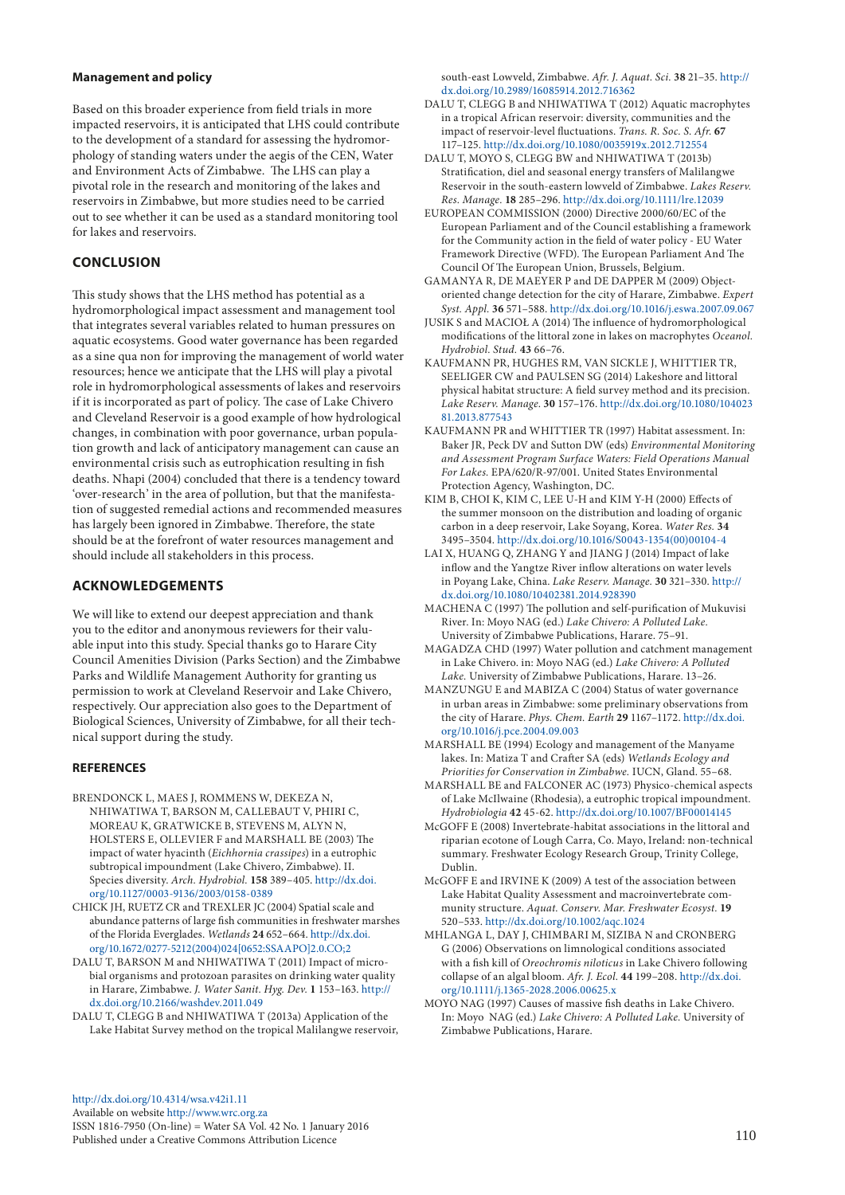#### **Management and policy**

Based on this broader experience from field trials in more impacted reservoirs, it is anticipated that LHS could contribute to the development of a standard for assessing the hydromorphology of standing waters under the aegis of the CEN, Water and Environment Acts of Zimbabwe. The LHS can play a pivotal role in the research and monitoring of the lakes and reservoirs in Zimbabwe, but more studies need to be carried out to see whether it can be used as a standard monitoring tool for lakes and reservoirs.

# **CONCLUSION**

This study shows that the LHS method has potential as a hydromorphological impact assessment and management tool that integrates several variables related to human pressures on aquatic ecosystems. Good water governance has been regarded as a sine qua non for improving the management of world water resources; hence we anticipate that the LHS will play a pivotal role in hydromorphological assessments of lakes and reservoirs if it is incorporated as part of policy. The case of Lake Chivero and Cleveland Reservoir is a good example of how hydrological changes, in combination with poor governance, urban population growth and lack of anticipatory management can cause an environmental crisis such as eutrophication resulting in fish deaths. Nhapi (2004) concluded that there is a tendency toward 'over-research' in the area of pollution, but that the manifestation of suggested remedial actions and recommended measures has largely been ignored in Zimbabwe. Therefore, the state should be at the forefront of water resources management and should include all stakeholders in this process.

# **ACKNOWLEDGEMENTS**

We will like to extend our deepest appreciation and thank you to the editor and anonymous reviewers for their valuable input into this study. Special thanks go to Harare City Council Amenities Division (Parks Section) and the Zimbabwe Parks and Wildlife Management Authority for granting us permission to work at Cleveland Reservoir and Lake Chivero, respectively. Our appreciation also goes to the Department of Biological Sciences, University of Zimbabwe, for all their technical support during the study.

## **REFERENCES**

- BRENDONCK L, MAES L ROMMENS W, DEKEZA N, NHIWATIWA T, BARSON M, CALLEBAUT V, PHIRI C, MOREAU K, GRATWICKE B, STEVENS M, ALYN N, HOLSTERS E, OLLEVIER F and MARSHALL BE (2003) The impact of water hyacinth (*Eichhornia crassipes*) in a eutrophic subtropical impoundment (Lake Chivero, Zimbabwe). II. Species diversity. *Arch. Hydrobiol.* **158** 389–405. [http://dx.doi.](http://dx.doi.org/10.1127/0003-9136/2003/0158-0389) [org/10.1127/0003-9136/2003/0158-0389](http://dx.doi.org/10.1127/0003-9136/2003/0158-0389)
- CHICK JH, RUETZ CR and TREXLER JC (2004) Spatial scale and abundance patterns of large fish communities in freshwater marshes of the Florida Everglades. *Wetlands* **24** 652–664. [http://dx.doi.](http://dx.doi.org/10.1672/0277-5212(2004)024%5b0652:SSAAPO%5d2.0.CO;2) [org/10.1672/0277-5212\(2004\)024\[0652:SSAAPO\]2.0.CO;2](http://dx.doi.org/10.1672/0277-5212(2004)024%5b0652:SSAAPO%5d2.0.CO;2)
- DALU T, BARSON M and NHIWATIWA T (2011) Impact of microbial organisms and protozoan parasites on drinking water quality in Harare, Zimbabwe. *J. Water Sanit. Hyg. Dev.* **1** 153–163. [http://](http://dx.doi.org/10.2166/washdev.2011.049) [dx.doi.org/10.2166/washdev.2011.049](http://dx.doi.org/10.2166/washdev.2011.049)
- DALU T, CLEGG B and NHIWATIWA T (2013a) Application of the Lake Habitat Survey method on the tropical Malilangwe reservoir,

south-east Lowveld, Zimbabwe. *Afr. J. Aquat. Sci.* **38** 21–35. [http://](http://dx.doi.org/10.2989/16085914.2012.716362) [dx.doi.org/10.2989/16085914.2012.716362](http://dx.doi.org/10.2989/16085914.2012.716362)

- DALU T, CLEGG B and NHIWATIWA T (2012) Aquatic macrophytes in a tropical African reservoir: diversity, communities and the impact of reservoir-level fluctuations. *Trans. R. Soc. S. Afr.* **67**  117–125. <http://dx.doi.org/10.1080/0035919x.2012.712554>
- DALU T, MOYO S, CLEGG BW and NHIWATIWA T (2013b) Stratification, diel and seasonal energy transfers of Malilangwe Reservoir in the south-eastern lowveld of Zimbabwe. *Lakes Reserv. Res. Manage.* **18** 285–296. <http://dx.doi.org/10.1111/lre.12039>
- EUROPEAN COMMISSION (2000) Directive 2000/60/EC of the European Parliament and of the Council establishing a framework for the Community action in the field of water policy - EU Water Framework Directive (WFD). The European Parliament And The Council Of The European Union, Brussels, Belgium.
- GAMANYA R, DE MAEYER P and DE DAPPER M (2009) Objectoriented change detection for the city of Harare, Zimbabwe. *Expert Syst. Appl.* **36** 571–588. <http://dx.doi.org/10.1016/j.eswa.2007.09.067>
- JUSIK S and MACIOŁ A (2014) The influence of hydromorphological modifications of the littoral zone in lakes on macrophytes *Oceanol. Hydrobiol. Stud.* **43** 66–76.
- KAUFMANN PR, HUGHES RM, VAN SICKLE J, WHITTIER TR, SEELIGER CW and PAULSEN SG (2014) Lakeshore and littoral physical habitat structure: A field survey method and its precision. *Lake Reserv. Manage*. **30** 157–176. [http://dx.doi.org/10.1080/104023](http://dx.doi.org/10.1080/10402381.2013.877543) [81.2013.877543](http://dx.doi.org/10.1080/10402381.2013.877543)
- KAUFMANN PR and WHITTIER TR (1997) Habitat assessment. In: Baker JR, Peck DV and Sutton DW (eds) *Environmental Monitoring and Assessment Program Surface Waters: Field Operations Manual For Lakes.* EPA/620/R-97/001. United States Environmental Protection Agency, Washington, DC.
- KIM B, CHOI K, KIM C, LEE U-H and KIM Y-H (2000) Effects of the summer monsoon on the distribution and loading of organic carbon in a deep reservoir, Lake Soyang, Korea. *Water Res.* **34** 3495–3504. [http://dx.doi.org/10.1016/S0043-1354\(00\)00104-4](http://dx.doi.org/10.1016/S0043-1354(00)00104-4)
- LAI X, HUANG Q, ZHANG Y and JIANG J (2014) Impact of lake inflow and the Yangtze River inflow alterations on water levels in Poyang Lake, China. *Lake Reserv. Manage.* **30** 321–330. [http://](http://dx.doi.org/10.1080/10402381.2014.928390) [dx.doi.org/10.1080/10402381.2014.928390](http://dx.doi.org/10.1080/10402381.2014.928390)
- MACHENA C (1997) The pollution and self-purification of Mukuvisi River. In: Moyo NAG (ed.) *Lake Chivero: A Polluted Lake.* University of Zimbabwe Publications, Harare. 75–91.
- MAGADZA CHD (1997) Water pollution and catchment management in Lake Chivero. in: Moyo NAG (ed.) *Lake Chivero: A Polluted Lake.* University of Zimbabwe Publications, Harare. 13–26.
- MANZUNGU E and MABIZA C (2004) Status of water governance in urban areas in Zimbabwe: some preliminary observations from the city of Harare. *Phys. Chem. Earth* **29** 1167–1172. [http://dx.doi.](http://dx.doi.org/10.1016/j.pce.2004.09.003) [org/10.1016/j.pce.2004.09.003](http://dx.doi.org/10.1016/j.pce.2004.09.003)
- MARSHALL BE (1994) Ecology and management of the Manyame lakes. In: Matiza T and Crafter SA (eds) *Wetlands Ecology and Priorities for Conservation in Zimbabwe.* IUCN, Gland. 55–68.
- MARSHALL BE and FALCONER AC (1973) Physico-chemical aspects of Lake McIlwaine (Rhodesia), a eutrophic tropical impoundment. *Hydrobiologia* **42** 45-62. <http://dx.doi.org/10.1007/BF00014145>
- McGOFF E (2008) Invertebrate-habitat associations in the littoral and riparian ecotone of Lough Carra, Co. Mayo, Ireland: non-technical summary. Freshwater Ecology Research Group, Trinity College, Dublin.
- McGOFF E and IRVINE K (2009) A test of the association between Lake Habitat Quality Assessment and macroinvertebrate community structure. *Aquat. Conserv. Mar. Freshwater Ecosyst.* **19** 520–533. <http://dx.doi.org/10.1002/aqc.1024>
- MHLANGA L, DAY J, CHIMBARI M, SIZIBA N and CRONBERG G (2006) Observations on limnological conditions associated with a fish kill of *Oreochromis niloticus* in Lake Chivero following collapse of an algal bloom. *Afr. J. Ecol.* **44** 199–208. [http://dx.doi.](http://dx.doi.org/10.1111/j.1365-2028.2006.00625.x) [org/10.1111/j.1365-2028.2006.00625.x](http://dx.doi.org/10.1111/j.1365-2028.2006.00625.x)
- MOYO NAG (1997) Causes of massive fish deaths in Lake Chivero. In: Moyo NAG (ed.) *Lake Chivero: A Polluted Lake.* University of Zimbabwe Publications, Harare.

[http://dx.doi.org/10.4314/wsa.v42i1.1](http://dx.doi.org/10.4314/wsa.v42i1.11)1 Available on website <http://www.wrc.org.za> ISSN 1816-7950 (On-line) = Water SA Vol. 42 No. 1 January 2016 Published under a Creative Commons Attribution Licence